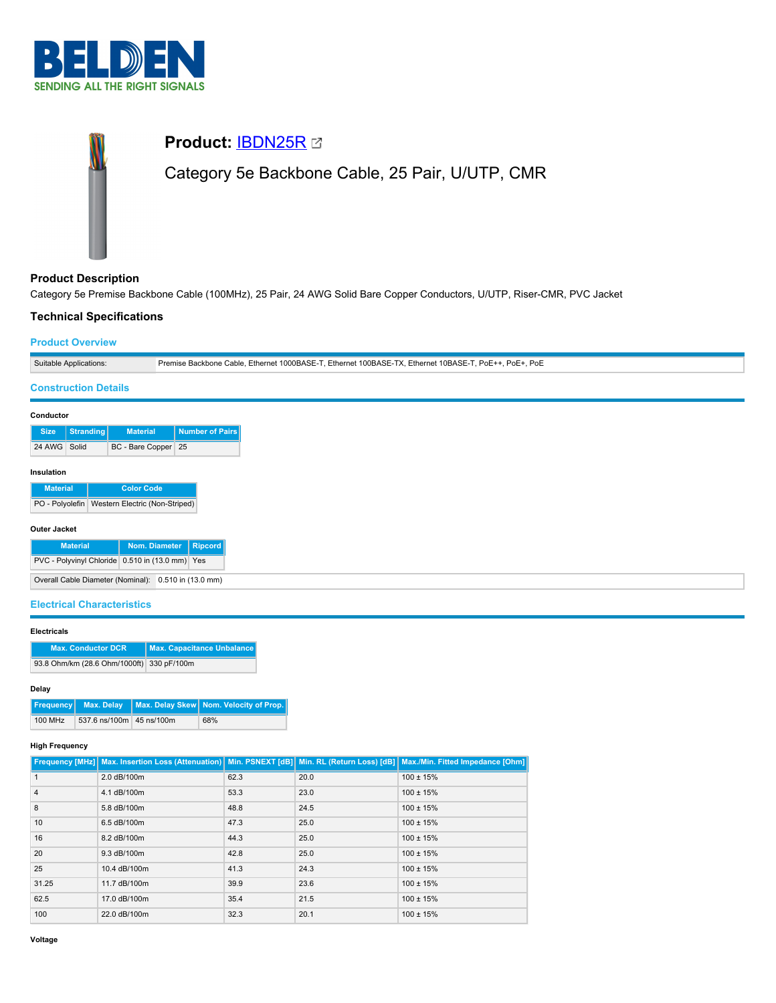

# **Product:** [IBDN25R](https://catalog.belden.com/index.cfm?event=pd&p=PF_IBDN25R&tab=downloads) Category 5e Backbone Cable, 25 Pair, U/UTP, CMR

# **Product Description**

Category 5e Premise Backbone Cable (100MHz), 25 Pair, 24 AWG Solid Bare Copper Conductors, U/UTP, Riser-CMR, PVC Jacket

# **Technical Specifications**

## **Product Overview**

| Suitable Applications: | Premise Backbone Cable, Ethernet 1000BASE-T, Ethernet 100BASE-TX, Ethernet 10BASE-T, PoE++, PoE+, PoE |
|------------------------|-------------------------------------------------------------------------------------------------------|

## **Construction Details**

| <b>Size</b>  | Stranding | <b>Material</b>     | <b>Number of Pairs</b> |  |
|--------------|-----------|---------------------|------------------------|--|
| 24 AWG Solid |           | BC - Bare Copper 25 |                        |  |
| Insulation   |           |                     |                        |  |

# **Material Color Code** PO - Polyolefin Western Electric (Non-Striped)

| Outer Jacket |  |
|--------------|--|

| <b>Material</b>                                      |  |  | Nom. Diameter   Ripcord |
|------------------------------------------------------|--|--|-------------------------|
| PVC - Polyvinyl Chloride 0.510 in (13.0 mm) Yes      |  |  |                         |
| Overall Cable Diameter (Nominal): 0.510 in (13.0 mm) |  |  |                         |

# **Electrical Characteristics**

#### **Electricals**

| <b>Max. Conductor DCR</b>                 | Max. Capacitance Unbalance |
|-------------------------------------------|----------------------------|
| 93.8 Ohm/km (28.6 Ohm/1000ft) 330 pF/100m |                            |

## **Delay**

|         |                          | <b>Frequency</b> Max. Delay Max. Delay Skew Nom. Velocity of Prop. |
|---------|--------------------------|--------------------------------------------------------------------|
| 100 MHz | 537.6 ns/100m 45 ns/100m | 68%                                                                |

#### **High Frequency**

|                |              |      |      | Frequency [MHz] Max. Insertion Loss (Attenuation)   Min. PSNEXT [dB]   Min. RL (Return Loss) [dB]   Max./Min. Fitted Impedance [Ohm] |
|----------------|--------------|------|------|--------------------------------------------------------------------------------------------------------------------------------------|
|                | 2.0 dB/100m  | 62.3 | 20.0 | $100 \pm 15%$                                                                                                                        |
| $\overline{4}$ | 4.1 dB/100m  | 53.3 | 23.0 | $100 \pm 15%$                                                                                                                        |
| 8              | 5.8 dB/100m  | 48.8 | 24.5 | $100 \pm 15%$                                                                                                                        |
| 10             | 6.5 dB/100m  | 47.3 | 25.0 | $100 \pm 15%$                                                                                                                        |
| 16             | 8.2 dB/100m  | 44.3 | 25.0 | $100 \pm 15%$                                                                                                                        |
| 20             | 9.3 dB/100m  | 42.8 | 25.0 | $100 \pm 15%$                                                                                                                        |
| 25             | 10.4 dB/100m | 41.3 | 24.3 | $100 \pm 15%$                                                                                                                        |
| 31.25          | 11.7 dB/100m | 39.9 | 23.6 | $100 \pm 15%$                                                                                                                        |
| 62.5           | 17.0 dB/100m | 35.4 | 21.5 | $100 \pm 15%$                                                                                                                        |
| 100            | 22.0 dB/100m | 32.3 | 20.1 | $100 \pm 15%$                                                                                                                        |